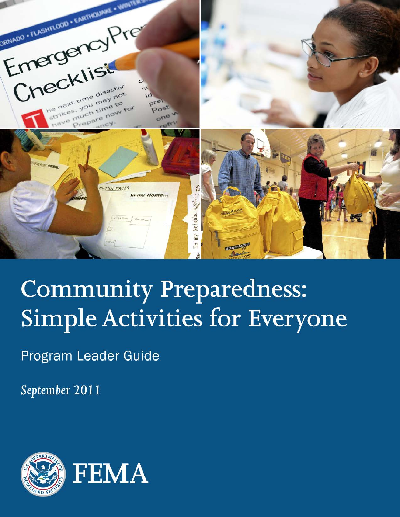

# **Community Preparedness: Simple Activities for Everyone**

Program Leader Guide

September 2011

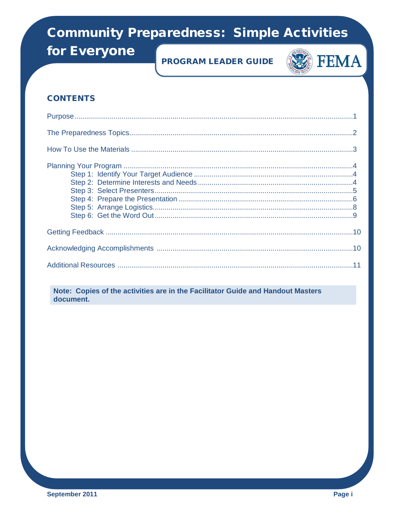for Everyone

### **PROGRAM LEADER GUIDE**



### **CONTENTS**

Note: Copies of the activities are in the Facilitator Guide and Handout Masters document.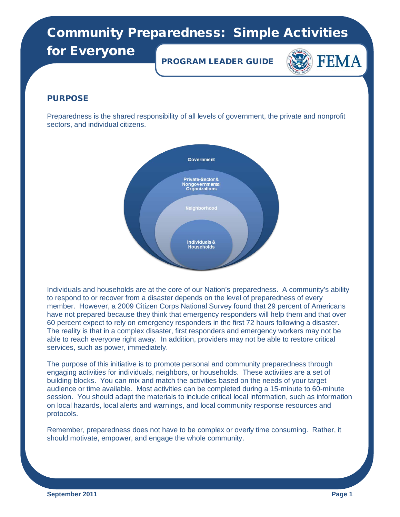for Everyone

PROGRAM LEADER GUIDE



### PURPOSE

Preparedness is the shared responsibility of all levels of government, the private and nonprofit sectors, and individual citizens.



Individuals and households are at the core of our Nation's preparedness. A community's ability to respond to or recover from a disaster depends on the level of preparedness of every member. However, a 2009 Citizen Corps National Survey found that 29 percent of Americans have not prepared because they think that emergency responders will help them and that over 60 percent expect to rely on emergency responders in the first 72 hours following a disaster. The reality is that in a complex disaster, first responders and emergency workers may not be able to reach everyone right away. In addition, providers may not be able to restore critical services, such as power, immediately.

The purpose of this initiative is to promote personal and community preparedness through engaging activities for individuals, neighbors, or households. These activities are a set of building blocks. You can mix and match the activities based on the needs of your target audience or time available. Most activities can be completed during a 15-minute to 60-minute session. You should adapt the materials to include critical local information, such as information on local hazards, local alerts and warnings, and local community response resources and protocols.

Remember, preparedness does not have to be complex or overly time consuming. Rather, it should motivate, empower, and engage the whole community.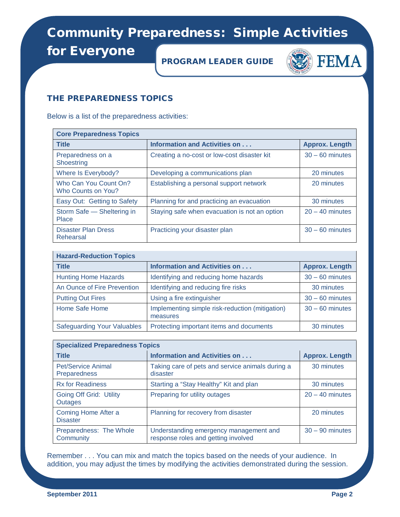for Everyone

PROGRAM LEADER GUIDE



### THE PREPAREDNESS TOPICS

Below is a list of the preparedness activities:

| <b>Core Preparedness Topics</b>             |                                               |                       |  |
|---------------------------------------------|-----------------------------------------------|-----------------------|--|
| <b>Title</b>                                | Information and Activities on                 | <b>Approx. Length</b> |  |
| Preparedness on a<br>Shoestring             | Creating a no-cost or low-cost disaster kit   | $30 - 60$ minutes     |  |
| Where Is Everybody?                         | Developing a communications plan              | 20 minutes            |  |
| Who Can You Count On?<br>Who Counts on You? | Establishing a personal support network       | 20 minutes            |  |
| Easy Out: Getting to Safety                 | Planning for and practicing an evacuation     | 30 minutes            |  |
| Storm Safe - Sheltering in<br>Place         | Staying safe when evacuation is not an option | $20 - 40$ minutes     |  |
| <b>Disaster Plan Dress</b><br>Rehearsal     | Practicing your disaster plan                 | $30 - 60$ minutes     |  |

| <b>Hazard-Reduction Topics</b>     |                                                             |                       |  |
|------------------------------------|-------------------------------------------------------------|-----------------------|--|
| <b>Title</b>                       | <b>Information and Activities on</b>                        | <b>Approx. Length</b> |  |
| <b>Hunting Home Hazards</b>        | Identifying and reducing home hazards                       | $30 - 60$ minutes     |  |
| An Ounce of Fire Prevention        | Identifying and reducing fire risks                         | 30 minutes            |  |
| <b>Putting Out Fires</b>           | Using a fire extinguisher                                   | $30 - 60$ minutes     |  |
| Home Safe Home                     | Implementing simple risk-reduction (mitigation)<br>measures | $30 - 60$ minutes     |  |
| <b>Safeguarding Your Valuables</b> | Protecting important items and documents                    | 30 minutes            |  |

| <b>Specialized Preparedness Topics</b>           |                                                                               |                       |  |
|--------------------------------------------------|-------------------------------------------------------------------------------|-----------------------|--|
| <b>Title</b>                                     | <b>Information and Activities on </b>                                         | <b>Approx. Length</b> |  |
| <b>Pet/Service Animal</b><br><b>Preparedness</b> | Taking care of pets and service animals during a<br>disaster                  | 30 minutes            |  |
| <b>Rx for Readiness</b>                          | Starting a "Stay Healthy" Kit and plan                                        | 30 minutes            |  |
| Going Off Grid: Utility<br>Outages               | Preparing for utility outages                                                 | $20 - 40$ minutes     |  |
| Coming Home After a<br><b>Disaster</b>           | Planning for recovery from disaster                                           | 20 minutes            |  |
| Preparedness: The Whole<br>Community             | Understanding emergency management and<br>response roles and getting involved | $30 - 90$ minutes     |  |

Remember . . . You can mix and match the topics based on the needs of your audience. In addition, you may adjust the times by modifying the activities demonstrated during the session.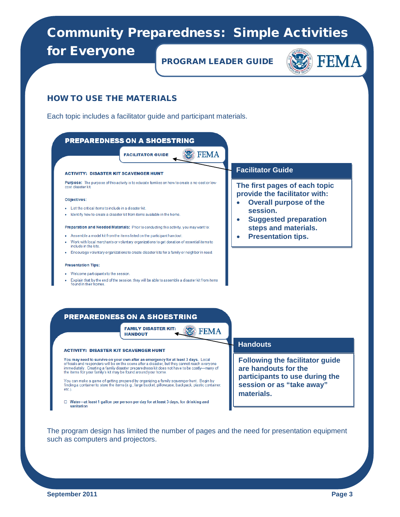for Everyone

PROGRAM LEADER GUIDE



#### HOW TO USE THE MATERIALS

Each topic includes a facilitator guide and participant materials.



#### **PREPAREDNESS ON A SHOESTRING**

**FAMILY DISASTER KIT: W** FEMA **HANDOUT** 

#### **ACTIVITY: DISASTER KIT SCAVENGER HUNT**

You may need to survive on your own after an emergency for at least 3 days. Local officials and responders will be on the scene after a disaster, but they cannot reach everyone immediately. Creating a family disaster preparedness kit does not have to be costly—many of the items for your family's kit may be found around your home.

You can make a game of getting prepared by organizing a family scavenger hunt. Begin by<br>finding a container to store the items (e.g., large bucket, pillowcase, backpack, plastic container, etc.).

□ Water-at least 1 gallon per person per day for at least 3 days, for drinking and sanitation

#### **Handouts**

**Following the facilitator guide are handouts for the participants to use during the session or as "take away" materials.**

The program design has limited the number of pages and the need for presentation equipment such as computers and projectors.

**September 2011 Page 3**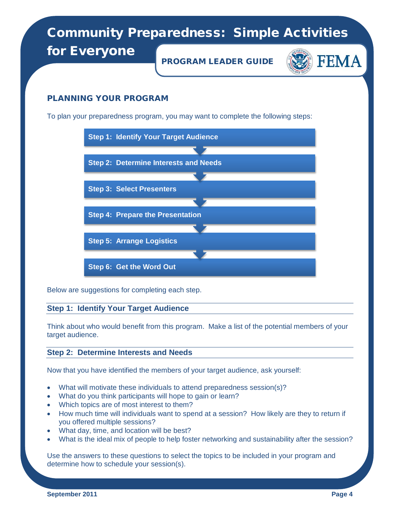for Everyone

PROGRAM LEADER GUIDE



### PLANNING YOUR PROGRAM

To plan your preparedness program, you may want to complete the following steps:



Below are suggestions for completing each step.

### **Step 1: Identify Your Target Audience**

Think about who would benefit from this program. Make a list of the potential members of your target audience.

### **Step 2: Determine Interests and Needs**

Now that you have identified the members of your target audience, ask yourself:

- What will motivate these individuals to attend preparedness session(s)?
- What do you think participants will hope to gain or learn?
- Which topics are of most interest to them?
- How much time will individuals want to spend at a session? How likely are they to return if you offered multiple sessions?
- What day, time, and location will be best?
- What is the ideal mix of people to help foster networking and sustainability after the session?

Use the answers to these questions to select the topics to be included in your program and determine how to schedule your session(s).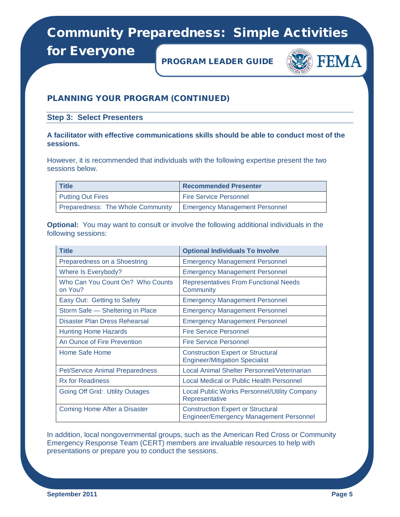for Everyone

PROGRAM LEADER GUIDE



### PLANNING YOUR PROGRAM (CONTINUED)

**Step 3: Select Presenters**

**A facilitator with effective communications skills should be able to conduct most of the sessions.**

However, it is recommended that individuals with the following expertise present the two sessions below.

| <b>Title</b>                      | <b>Recommended Presenter</b>          |  |  |
|-----------------------------------|---------------------------------------|--|--|
| <b>Putting Out Fires</b>          | <b>Fire Service Personnel</b>         |  |  |
| Preparedness: The Whole Community | <b>Emergency Management Personnel</b> |  |  |

**Optional:** You may want to consult or involve the following additional individuals in the following sessions:

| <b>Title</b>                                | <b>Optional Individuals To Involve</b>                                                     |
|---------------------------------------------|--------------------------------------------------------------------------------------------|
| Preparedness on a Shoestring                | <b>Emergency Management Personnel</b>                                                      |
| Where Is Everybody?                         | <b>Emergency Management Personnel</b>                                                      |
| Who Can You Count On? Who Counts<br>on You? | <b>Representatives From Functional Needs</b><br>Community                                  |
| Easy Out: Getting to Safety                 | <b>Emergency Management Personnel</b>                                                      |
| Storm Safe - Sheltering in Place            | <b>Emergency Management Personnel</b>                                                      |
| Disaster Plan Dress Rehearsal               | <b>Emergency Management Personnel</b>                                                      |
| <b>Hunting Home Hazards</b>                 | <b>Fire Service Personnel</b>                                                              |
| An Ounce of Fire Prevention                 | <b>Fire Service Personnel</b>                                                              |
| Home Safe Home                              | <b>Construction Expert or Structural</b><br><b>Engineer/Mitigation Specialist</b>          |
| <b>Pet/Service Animal Preparedness</b>      | Local Animal Shelter Personnel/Veterinarian                                                |
| <b>Rx for Readiness</b>                     | Local Medical or Public Health Personnel                                                   |
| Going Off Grid: Utility Outages             | <b>Local Public Works Personnel/Utility Company</b><br>Representative                      |
| Coming Home After a Disaster                | <b>Construction Expert or Structural</b><br><b>Engineer/Emergency Management Personnel</b> |

In addition, local nongovernmental groups, such as the American Red Cross or Community Emergency Response Team (CERT) members are invaluable resources to help with presentations or prepare you to conduct the sessions.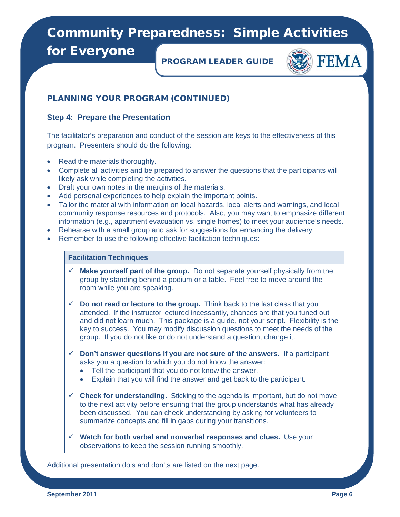for Everyone

PROGRAM LEADER GUIDE



### PLANNING YOUR PROGRAM (CONTINUED)

#### **Step 4: Prepare the Presentation**

The facilitator's preparation and conduct of the session are keys to the effectiveness of this program. Presenters should do the following:

- Read the materials thoroughly.
- Complete all activities and be prepared to answer the questions that the participants will likely ask while completing the activities.
- Draft your own notes in the margins of the materials.
- Add personal experiences to help explain the important points.
- Tailor the material with information on local hazards, local alerts and warnings, and local community response resources and protocols. Also, you may want to emphasize different information (e.g., apartment evacuation vs. single homes) to meet your audience's needs.
- Rehearse with a small group and ask for suggestions for enhancing the delivery.
- Remember to use the following effective facilitation techniques:

#### **Facilitation Techniques**

- **Make yourself part of the group.** Do not separate yourself physically from the group by standing behind a podium or a table. Feel free to move around the room while you are speaking.
- $\checkmark$  Do not read or lecture to the group. Think back to the last class that you attended. If the instructor lectured incessantly, chances are that you tuned out and did not learn much. This package is a guide, not your script. Flexibility is the key to success. You may modify discussion questions to meet the needs of the group. If you do not like or do not understand a question, change it.
- $\checkmark$  Don't answer questions if you are not sure of the answers. If a participant asks you a question to which you do not know the answer:
	- Tell the participant that you do not know the answer.
	- Explain that you will find the answer and get back to the participant.
- **Check for understanding.** Sticking to the agenda is important, but do not move to the next activity before ensuring that the group understands what has already been discussed. You can check understanding by asking for volunteers to summarize concepts and fill in gaps during your transitions.
- **Watch for both verbal and nonverbal responses and clues.** Use your observations to keep the session running smoothly.

Additional presentation do's and don'ts are listed on the next page.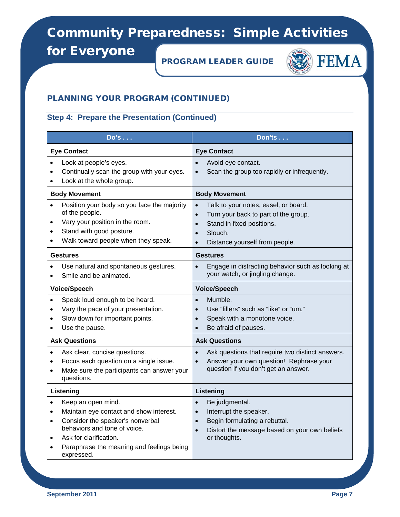for Everyone

PROGRAM LEADER GUIDE



### PLANNING YOUR PROGRAM (CONTINUED)

### **Step 4: Prepare the Presentation (Continued)**

| Do's                                                                                                                                                                                                                                                                                    | <b>Don'ts</b>                                                                                                                                                                                  |  |  |
|-----------------------------------------------------------------------------------------------------------------------------------------------------------------------------------------------------------------------------------------------------------------------------------------|------------------------------------------------------------------------------------------------------------------------------------------------------------------------------------------------|--|--|
| <b>Eye Contact</b>                                                                                                                                                                                                                                                                      | <b>Eye Contact</b>                                                                                                                                                                             |  |  |
| Look at people's eyes.<br>$\bullet$<br>Continually scan the group with your eyes.<br>$\bullet$<br>Look at the whole group.<br>$\bullet$                                                                                                                                                 | Avoid eye contact.<br>Scan the group too rapidly or infrequently.                                                                                                                              |  |  |
| <b>Body Movement</b>                                                                                                                                                                                                                                                                    | <b>Body Movement</b>                                                                                                                                                                           |  |  |
| Position your body so you face the majority<br>$\bullet$<br>of the people.<br>Vary your position in the room.<br>Stand with good posture.<br>Walk toward people when they speak.                                                                                                        | Talk to your notes, easel, or board.<br>Turn your back to part of the group.<br>Stand in fixed positions.<br>$\bullet$<br>Slouch.<br>Distance yourself from people.                            |  |  |
| <b>Gestures</b>                                                                                                                                                                                                                                                                         | <b>Gestures</b>                                                                                                                                                                                |  |  |
| Use natural and spontaneous gestures.<br>Smile and be animated.                                                                                                                                                                                                                         | Engage in distracting behavior such as looking at<br>your watch, or jingling change.                                                                                                           |  |  |
| <b>Voice/Speech</b>                                                                                                                                                                                                                                                                     | <b>Voice/Speech</b>                                                                                                                                                                            |  |  |
| Speak loud enough to be heard.<br>$\bullet$<br>Vary the pace of your presentation.<br>$\bullet$<br>Slow down for important points.<br>$\bullet$<br>Use the pause.<br>$\bullet$                                                                                                          | Mumble.<br>$\bullet$<br>Use "fillers" such as "like" or "um."<br>$\bullet$<br>Speak with a monotone voice.<br>$\bullet$<br>Be afraid of pauses.                                                |  |  |
| <b>Ask Questions</b>                                                                                                                                                                                                                                                                    | <b>Ask Questions</b>                                                                                                                                                                           |  |  |
| Ask clear, concise questions.<br>$\bullet$<br>Focus each question on a single issue.<br>$\bullet$<br>Make sure the participants can answer your<br>$\bullet$<br>questions.                                                                                                              | Ask questions that require two distinct answers.<br>Answer your own question! Rephrase your<br>question if you don't get an answer.                                                            |  |  |
| Listening                                                                                                                                                                                                                                                                               | Listening                                                                                                                                                                                      |  |  |
| Keep an open mind.<br>$\bullet$<br>Maintain eye contact and show interest.<br>$\bullet$<br>Consider the speaker's nonverbal<br>$\bullet$<br>behaviors and tone of voice.<br>Ask for clarification.<br>$\bullet$<br>Paraphrase the meaning and feelings being<br>$\bullet$<br>expressed. | Be judgmental.<br>$\bullet$<br>Interrupt the speaker.<br>$\bullet$<br>Begin formulating a rebuttal.<br>$\bullet$<br>Distort the message based on your own beliefs<br>$\bullet$<br>or thoughts. |  |  |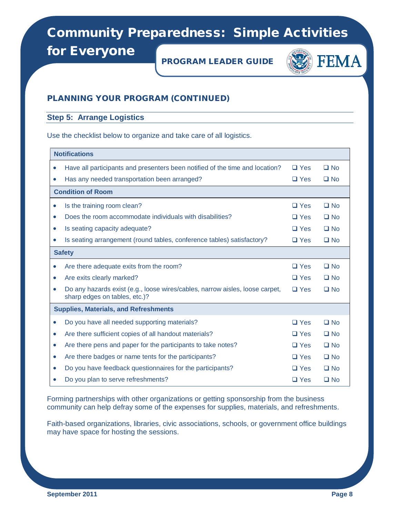for Everyone

PROGRAM LEADER GUIDE



### PLANNING YOUR PROGRAM (CONTINUED)

### **Step 5: Arrange Logistics**

Use the checklist below to organize and take care of all logistics.

|           | <b>Notifications</b>                                                                                          |            |           |  |
|-----------|---------------------------------------------------------------------------------------------------------------|------------|-----------|--|
| $\bullet$ | Have all participants and presenters been notified of the time and location?                                  | $\Box$ Yes | $\Box$ No |  |
| $\bullet$ | Has any needed transportation been arranged?                                                                  | $\Box$ Yes | $\Box$ No |  |
|           | <b>Condition of Room</b>                                                                                      |            |           |  |
| $\bullet$ | Is the training room clean?                                                                                   | $\Box$ Yes | $\Box$ No |  |
| $\bullet$ | Does the room accommodate individuals with disabilities?                                                      | $\Box$ Yes | $\Box$ No |  |
| $\bullet$ | Is seating capacity adequate?                                                                                 | $\Box$ Yes | $\Box$ No |  |
| $\bullet$ | Is seating arrangement (round tables, conference tables) satisfactory?                                        | $\Box$ Yes | $\Box$ No |  |
|           | <b>Safety</b>                                                                                                 |            |           |  |
| $\bullet$ | Are there adequate exits from the room?                                                                       | $\Box$ Yes | $\Box$ No |  |
| $\bullet$ | Are exits clearly marked?                                                                                     | $\Box$ Yes | $\Box$ No |  |
| $\bullet$ | Do any hazards exist (e.g., loose wires/cables, narrow aisles, loose carpet,<br>sharp edges on tables, etc.)? | $\Box$ Yes | $\Box$ No |  |
|           | <b>Supplies, Materials, and Refreshments</b>                                                                  |            |           |  |
| $\bullet$ | Do you have all needed supporting materials?                                                                  | $\Box$ Yes | $\Box$ No |  |
| $\bullet$ | Are there sufficient copies of all handout materials?                                                         | $\Box$ Yes | $\Box$ No |  |
| $\bullet$ | Are there pens and paper for the participants to take notes?                                                  | $\Box$ Yes | $\Box$ No |  |
| $\bullet$ | Are there badges or name tents for the participants?                                                          | $\Box$ Yes | $\Box$ No |  |
| $\bullet$ | Do you have feedback questionnaires for the participants?                                                     | $\Box$ Yes | $\Box$ No |  |
|           | Do you plan to serve refreshments?                                                                            | $\Box$ Yes | $\Box$ No |  |

Forming partnerships with other organizations or getting sponsorship from the business community can help defray some of the expenses for supplies, materials, and refreshments.

Faith-based organizations, libraries, civic associations, schools, or government office buildings may have space for hosting the sessions.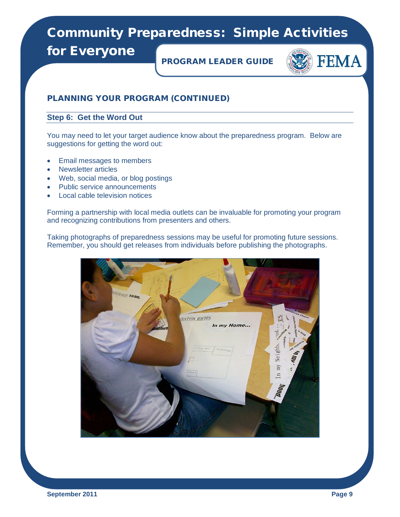for Everyone

PROGRAM LEADER GUIDE



### PLANNING YOUR PROGRAM (CONTINUED)

#### **Step 6: Get the Word Out**

You may need to let your target audience know about the preparedness program. Below are suggestions for getting the word out:

- Email messages to members
- Newsletter articles
- Web, social media, or blog postings
- Public service announcements
- Local cable television notices

Forming a partnership with local media outlets can be invaluable for promoting your program and recognizing contributions from presenters and others.

Taking photographs of preparedness sessions may be useful for promoting future sessions. Remember, you should get releases from individuals before publishing the photographs.

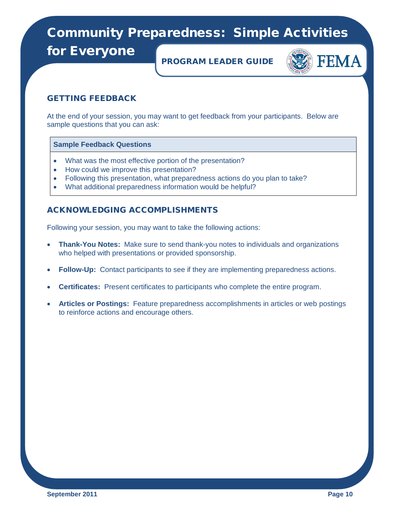for Everyone

PROGRAM LEADER GUIDE



### GETTING FEEDBACK

At the end of your session, you may want to get feedback from your participants. Below are sample questions that you can ask:

#### **Sample Feedback Questions**

- What was the most effective portion of the presentation?
- How could we improve this presentation?
- Following this presentation, what preparedness actions do you plan to take?
- What additional preparedness information would be helpful?

### ACKNOWLEDGING ACCOMPLISHMENTS

Following your session, you may want to take the following actions:

- **Thank-You Notes:** Make sure to send thank-you notes to individuals and organizations who helped with presentations or provided sponsorship.
- **Follow-Up:** Contact participants to see if they are implementing preparedness actions.
- **Certificates:** Present certificates to participants who complete the entire program.
- **Articles or Postings:** Feature preparedness accomplishments in articles or web postings to reinforce actions and encourage others.